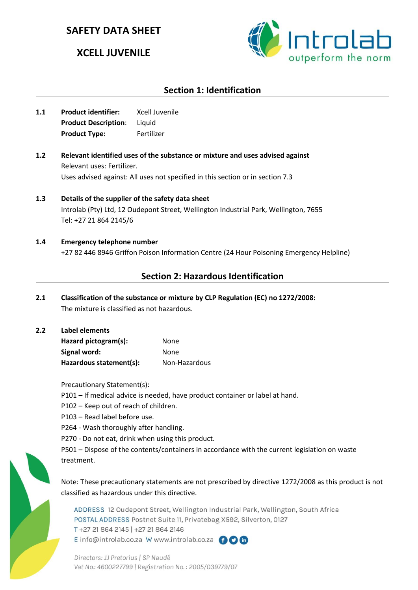# **SAFETY DATA SHEET**

# **XCELL JUVENILE**



## **Section 1: Identification**

- **1.1 Product identifier:** Xcell Juvenile **Product Description**: Liquid **Product Type:** Fertilizer
- **1.2 Relevant identified uses of the substance or mixture and uses advised against** Relevant uses: Fertilizer. Uses advised against: All uses not specified in this section or in section 7.3
- **1.3 Details of the supplier of the safety data sheet** Introlab (Pty) Ltd, 12 Oudepont Street, Wellington Industrial Park, Wellington, 7655 Tel: +27 21 864 2145/6
- **1.4 Emergency telephone number** +27 82 446 8946 Griffon Poison Information Centre (24 Hour Poisoning Emergency Helpline)

## **Section 2: Hazardous Identification**

- **2.1 Classification of the substance or mixture by CLP Regulation (EC) no 1272/2008:** The mixture is classified as not hazardous.
- **2.2 Label elements Hazard pictogram(s):** None Signal word: None **Hazardous statement(s):** Non-Hazardous

Precautionary Statement(s):

- P101 If medical advice is needed, have product container or label at hand.
- P102 Keep out of reach of children.
- P103 Read label before use.
- P264 Wash thoroughly after handling.
- P270 Do not eat, drink when using this product.

P501 – Dispose of the contents/containers in accordance with the current legislation on waste treatment.

Note: These precautionary statements are not prescribed by directive 1272/2008 as this product is not classified as hazardous under this directive.

ADDRESS 12 Oudepont Street, Wellington Industrial Park, Wellington, South Africa POSTAL ADDRESS Postnet Suite 11, Privatebag X592, Silverton, 0127 T+27 21 864 2145 | +27 21 864 2146 E info@introlab.co.za W www.introlab.co.za AOM

Directors: JJ Pretorius | SP Naudé Vat No.: 4600227799 | Registration No.: 2005/039779/07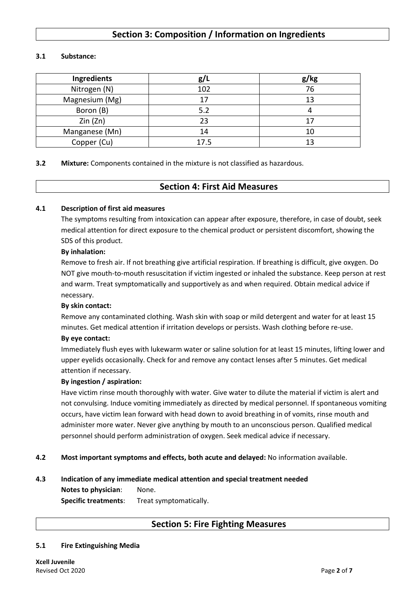## **Section 3: Composition / Information on Ingredients**

#### **3.1 Substance:**

| Ingredients    | g/1  | g/kg |
|----------------|------|------|
| Nitrogen (N)   | 102  | 76   |
| Magnesium (Mg) | 17   | 13   |
| Boron (B)      | 5.2  |      |
| Zin(Zn)        | 23   |      |
| Manganese (Mn) | 14   |      |
| Copper (Cu)    | 17.5 |      |

**3.2 Mixture:** Components contained in the mixture is not classified as hazardous.

### **Section 4: First Aid Measures**

#### **4.1 Description of first aid measures**

The symptoms resulting from intoxication can appear after exposure, therefore, in case of doubt, seek medical attention for direct exposure to the chemical product or persistent discomfort, showing the SDS of this product.

#### **By inhalation:**

Remove to fresh air. If not breathing give artificial respiration. If breathing is difficult, give oxygen. Do NOT give mouth-to-mouth resuscitation if victim ingested or inhaled the substance. Keep person at rest and warm. Treat symptomatically and supportively as and when required. Obtain medical advice if necessary.

#### **By skin contact:**

Remove any contaminated clothing. Wash skin with soap or mild detergent and water for at least 15 minutes. Get medical attention if irritation develops or persists. Wash clothing before re-use.

#### **By eye contact:**

Immediately flush eyes with lukewarm water or saline solution for at least 15 minutes, lifting lower and upper eyelids occasionally. Check for and remove any contact lenses after 5 minutes. Get medical attention if necessary.

#### **By ingestion / aspiration:**

Have victim rinse mouth thoroughly with water. Give water to dilute the material if victim is alert and not convulsing. Induce vomiting immediately as directed by medical personnel. If spontaneous vomiting occurs, have victim lean forward with head down to avoid breathing in of vomits, rinse mouth and administer more water. Never give anything by mouth to an unconscious person. Qualified medical personnel should perform administration of oxygen. Seek medical advice if necessary.

**4.2 Most important symptoms and effects, both acute and delayed:** No information available.

## **4.3 Indication of any immediate medical attention and special treatment needed Notes to physician**: None.

**Specific treatments**: Treat symptomatically.

### **Section 5: Fire Fighting Measures**

#### **5.1 Fire Extinguishing Media**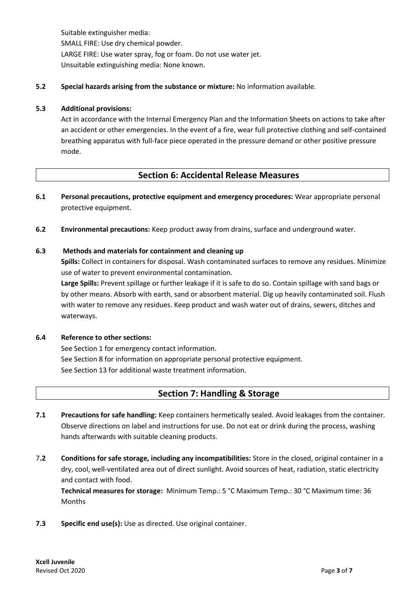Suitable extinguisher media: SMALL FIRE: Use dry chemical powder. LARGE FIRE: Use water spray, fog or foam. Do not use water jet. Unsuitable extinguishing media: None known.

#### **5.2 Special hazards arising from the substance or mixture:** No information available.

#### **5.3 Additional provisions:**

Act in accordance with the Internal Emergency Plan and the Information Sheets on actions to take after an accident or other emergencies. In the event of a fire, wear full protective clothing and self-contained breathing apparatus with full-face piece operated in the pressure demand or other positive pressure mode.

### **Section 6: Accidental Release Measures**

- **6.1 Personal precautions, protective equipment and emergency procedures:** Wear appropriate personal protective equipment.
- **6.2 Environmental precautions:** Keep product away from drains, surface and underground water.

#### **6.3 Methods and materials for containment and cleaning up**

**Spills:** Collect in containers for disposal. Wash contaminated surfaces to remove any residues. Minimize use of water to prevent environmental contamination.

**Large Spills:** Prevent spillage or further leakage if it is safe to do so. Contain spillage with sand bags or by other means. Absorb with earth, sand or absorbent material. Dig up heavily contaminated soil. Flush with water to remove any residues. Keep product and wash water out of drains, sewers, ditches and waterways.

#### **6.4 Reference to other sections:**

See Section 1 for emergency contact information. See Section 8 for information on appropriate personal protective equipment. See Section 13 for additional waste treatment information.

## **Section 7: Handling & Storage**

- **7.1 Precautions for safe handling:** Keep containers hermetically sealed. Avoid leakages from the container. Observe directions on label and instructions for use. Do not eat or drink during the process, washing hands afterwards with suitable cleaning products.
- 7**.2 Conditions for safe storage, including any incompatibilities:** Store in the closed, original container in a dry, cool, well-ventilated area out of direct sunlight. Avoid sources of heat, radiation, static electricity and contact with food.

**Technical measures for storage:** Minimum Temp.: 5 °C Maximum Temp.: 30 °C Maximum time: 36 Months

**7.3 Specific end use(s):** Use as directed. Use original container.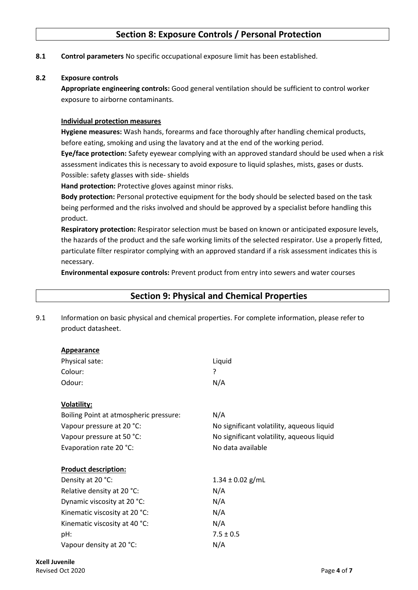## **Section 8: Exposure Controls / Personal Protection**

**8.1 Control parameters** No specific occupational exposure limit has been established.

#### **8.2 Exposure controls**

**Appropriate engineering controls:** Good general ventilation should be sufficient to control worker exposure to airborne contaminants.

#### **Individual protection measures**

**Hygiene measures:** Wash hands, forearms and face thoroughly after handling chemical products, before eating, smoking and using the lavatory and at the end of the working period.

**Eye/face protection:** Safety eyewear complying with an approved standard should be used when a risk assessment indicates this is necessary to avoid exposure to liquid splashes, mists, gases or dusts. Possible: safety glasses with side- shields

**Hand protection:** Protective gloves against minor risks.

**Body protection:** Personal protective equipment for the body should be selected based on the task being performed and the risks involved and should be approved by a specialist before handling this product.

**Respiratory protection:** Respirator selection must be based on known or anticipated exposure levels, the hazards of the product and the safe working limits of the selected respirator. Use a properly fitted, particulate filter respirator complying with an approved standard if a risk assessment indicates this is necessary.

**Environmental exposure controls:** Prevent product from entry into sewers and water courses

|     | <b>Section 9: Physical and Chemical Properties</b>                                                                     |                                           |  |  |  |
|-----|------------------------------------------------------------------------------------------------------------------------|-------------------------------------------|--|--|--|
| 9.1 | Information on basic physical and chemical properties. For complete information, please refer to<br>product datasheet. |                                           |  |  |  |
|     | <b>Appearance</b>                                                                                                      |                                           |  |  |  |
|     | Physical sate:                                                                                                         | Liquid                                    |  |  |  |
|     | Colour:                                                                                                                | ?                                         |  |  |  |
|     | Odour:                                                                                                                 | N/A                                       |  |  |  |
|     | <b>Volatility:</b>                                                                                                     |                                           |  |  |  |
|     | Boiling Point at atmospheric pressure:                                                                                 | N/A                                       |  |  |  |
|     | Vapour pressure at 20 °C:                                                                                              | No significant volatility, aqueous liquid |  |  |  |
|     | Vapour pressure at 50 °C:                                                                                              | No significant volatility, aqueous liquid |  |  |  |
|     | Evaporation rate 20 °C:                                                                                                | No data available                         |  |  |  |
|     | <b>Product description:</b>                                                                                            |                                           |  |  |  |
|     | Density at 20 °C:                                                                                                      | $1.34 \pm 0.02$ g/mL                      |  |  |  |
|     | Relative density at 20 °C:                                                                                             | N/A                                       |  |  |  |
|     | Dynamic viscosity at 20 °C:                                                                                            | N/A                                       |  |  |  |
|     | Kinematic viscosity at 20 °C:                                                                                          | N/A                                       |  |  |  |
|     | Kinematic viscosity at 40 °C:                                                                                          | N/A                                       |  |  |  |
|     | pH:                                                                                                                    | $7.5 \pm 0.5$                             |  |  |  |
|     | Vapour density at 20 °C:                                                                                               | N/A                                       |  |  |  |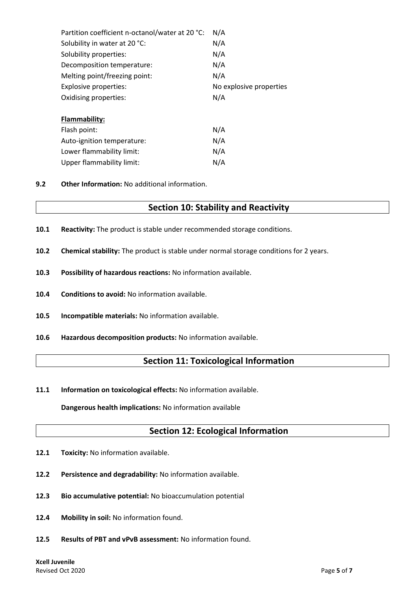| Partition coefficient n-octanol/water at 20 °C: | N/A                     |  |
|-------------------------------------------------|-------------------------|--|
| Solubility in water at 20 °C:                   | N/A                     |  |
| Solubility properties:                          | N/A                     |  |
| Decomposition temperature:                      | N/A                     |  |
| Melting point/freezing point:                   | N/A                     |  |
| Explosive properties:                           | No explosive properties |  |
| Oxidising properties:                           | N/A                     |  |
|                                                 |                         |  |
| <b>Flammability:</b>                            |                         |  |
| Flash point:                                    | N/A                     |  |
| Auto-ignition temperature:                      | N/A                     |  |
| Lower flammability limit:                       | N/A                     |  |
| <b>Upper flammability limit:</b>                | N/A                     |  |

**9.2 Other Information:** No additional information.

### **Section 10: Stability and Reactivity**

- **10.1 Reactivity:** The product is stable under recommended storage conditions.
- **10.2 Chemical stability:** The product is stable under normal storage conditions for 2 years.
- **10.3 Possibility of hazardous reactions:** No information available.
- **10.4 Conditions to avoid:** No information available.
- **10.5 Incompatible materials:** No information available.
- **10.6 Hazardous decomposition products:** No information available.

### **Section 11: Toxicological Information**

**11.1 Information on toxicological effects:** No information available.

**Dangerous health implications:** No information available

### **Section 12: Ecological Information**

- 12.1 Toxicity: No information available.
- **12.2 Persistence and degradability:** No information available.
- **12.3 Bio accumulative potential:** No bioaccumulation potential
- **12.4 Mobility in soil:** No information found.
- **12.5 Results of PBT and vPvB assessment:** No information found.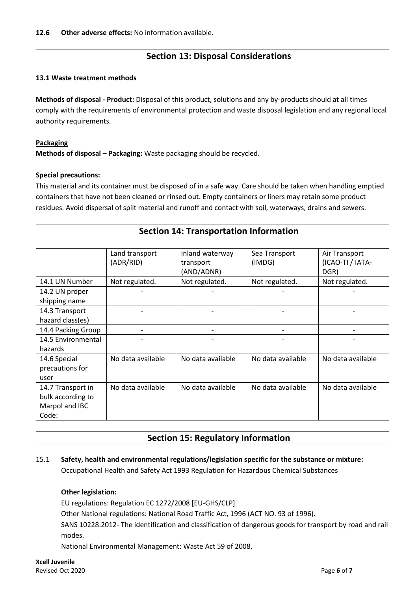## **Section 13: Disposal Considerations**

#### **13.1 Waste treatment methods**

**Methods of disposal - Product:** Disposal of this product, solutions and any by-products should at all times comply with the requirements of environmental protection and waste disposal legislation and any regional local authority requirements.

#### **Packaging**

**Methods of disposal – Packaging:** Waste packaging should be recycled.

#### **Special precautions:**

This material and its container must be disposed of in a safe way. Care should be taken when handling emptied containers that have not been cleaned or rinsed out. Empty containers or liners may retain some product residues. Avoid dispersal of spilt material and runoff and contact with soil, waterways, drains and sewers.

| <b>Section 14: Transportation Information</b> |  |  |  |  |
|-----------------------------------------------|--|--|--|--|
|                                               |  |  |  |  |

|                    | Land transport    | Inland waterway   | Sea Transport     | Air Transport     |
|--------------------|-------------------|-------------------|-------------------|-------------------|
|                    | (ADR/RID)         | transport         | (IMDG)            | (ICAO-TI / IATA-  |
|                    |                   | (AND/ADNR)        |                   | DGR)              |
| 14.1 UN Number     | Not regulated.    | Not regulated.    | Not regulated.    | Not regulated.    |
| 14.2 UN proper     |                   |                   |                   |                   |
| shipping name      |                   |                   |                   |                   |
| 14.3 Transport     |                   |                   |                   |                   |
| hazard class(es)   |                   |                   |                   |                   |
| 14.4 Packing Group |                   |                   |                   |                   |
| 14.5 Environmental |                   |                   |                   |                   |
| hazards            |                   |                   |                   |                   |
| 14.6 Special       | No data available | No data available | No data available | No data available |
| precautions for    |                   |                   |                   |                   |
| user               |                   |                   |                   |                   |
| 14.7 Transport in  | No data available | No data available | No data available | No data available |
| bulk according to  |                   |                   |                   |                   |
| Marpol and IBC     |                   |                   |                   |                   |
| Code:              |                   |                   |                   |                   |

## **Section 15: Regulatory Information**

### 15.1 **Safety, health and environmental regulations/legislation specific for the substance or mixture:** Occupational Health and Safety Act 1993 Regulation for Hazardous Chemical Substances

#### **Other legislation:**

EU regulations: Regulation EC 1272/2008 [EU-GHS/CLP]

Other National regulations: National Road Traffic Act, 1996 (ACT NO. 93 of 1996).

SANS 10228:2012- The identification and classification of dangerous goods for transport by road and rail modes.

National Environmental Management: Waste Act 59 of 2008.